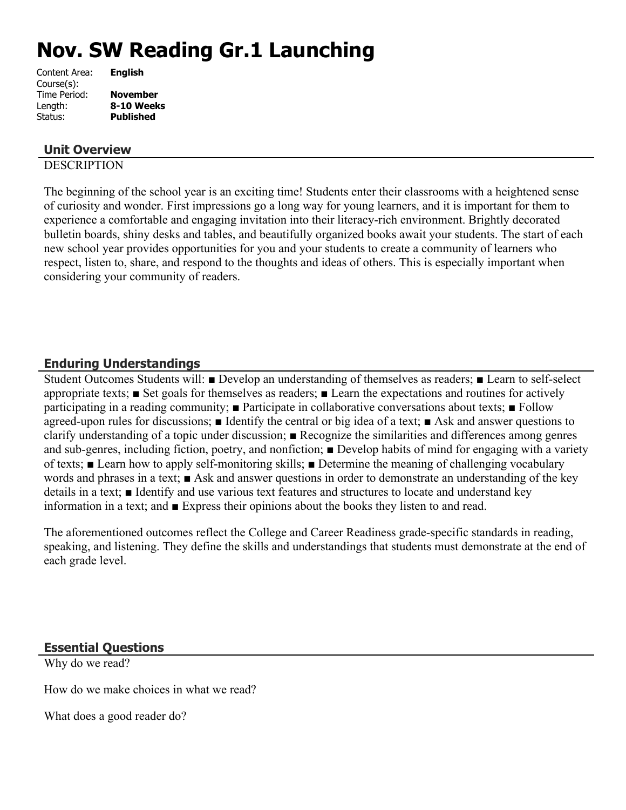# **Nov. SW Reading Gr.1 Launching**

| Content Area: | <b>English</b>   |
|---------------|------------------|
| Course(s):    |                  |
| Time Period:  | <b>November</b>  |
| Length:       | 8-10 Weeks       |
| Status:       | <b>Published</b> |
|               |                  |

# **Unit Overview**

## **DESCRIPTION**

The beginning of the school year is an exciting time! Students enter their classrooms with a heightened sense of curiosity and wonder. First impressions go a long way for young learners, and it is important for them to experience a comfortable and engaging invitation into their literacy-rich environment. Brightly decorated bulletin boards, shiny desks and tables, and beautifully organized books await your students. The start of each new school year provides opportunities for you and your students to create a community of learners who respect, listen to, share, and respond to the thoughts and ideas of others. This is especially important when considering your community of readers.

## **Enduring Understandings**

Student Outcomes Students will: ■ Develop an understanding of themselves as readers; ■ Learn to self-select appropriate texts; ■ Set goals for themselves as readers; ■ Learn the expectations and routines for actively participating in a reading community; ■ Participate in collaborative conversations about texts; ■ Follow agreed-upon rules for discussions; ■ Identify the central or big idea of a text; ■ Ask and answer questions to clarify understanding of a topic under discussion; ■ Recognize the similarities and differences among genres and sub-genres, including fiction, poetry, and nonfiction; ■ Develop habits of mind for engaging with a variety of texts; ■ Learn how to apply self-monitoring skills; ■ Determine the meaning of challenging vocabulary words and phrases in a text; ■ Ask and answer questions in order to demonstrate an understanding of the key details in a text; ■ Identify and use various text features and structures to locate and understand key information in a text; and ■ Express their opinions about the books they listen to and read.

The aforementioned outcomes reflect the College and Career Readiness grade-specific standards in reading, speaking, and listening. They define the skills and understandings that students must demonstrate at the end of each grade level.

## **Essential Questions**

Why do we read?

How do we make choices in what we read?

What does a good reader do?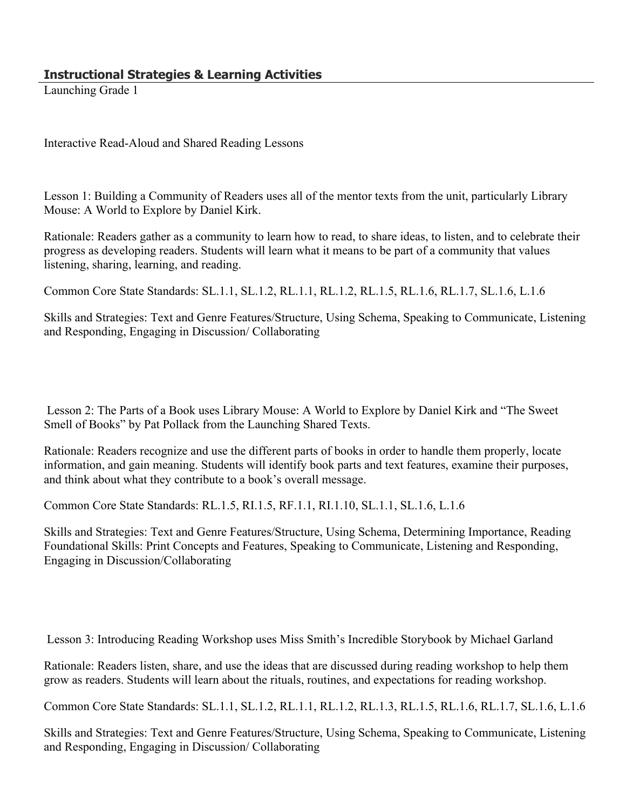Launching Grade 1

Interactive Read-Aloud and Shared Reading Lessons

Lesson 1: Building a Community of Readers uses all of the mentor texts from the unit, particularly Library Mouse: A World to Explore by Daniel Kirk.

Rationale: Readers gather as a community to learn how to read, to share ideas, to listen, and to celebrate their progress as developing readers. Students will learn what it means to be part of a community that values listening, sharing, learning, and reading.

Common Core State Standards: SL.1.1, SL.1.2, RL.1.1, RL.1.2, RL.1.5, RL.1.6, RL.1.7, SL.1.6, L.1.6

Skills and Strategies: Text and Genre Features/Structure, Using Schema, Speaking to Communicate, Listening and Responding, Engaging in Discussion/ Collaborating

 Lesson 2: The Parts of a Book uses Library Mouse: A World to Explore by Daniel Kirk and "The Sweet Smell of Books" by Pat Pollack from the Launching Shared Texts.

Rationale: Readers recognize and use the different parts of books in order to handle them properly, locate information, and gain meaning. Students will identify book parts and text features, examine their purposes, and think about what they contribute to a book's overall message.

Common Core State Standards: RL.1.5, RI.1.5, RF.1.1, RI.1.10, SL.1.1, SL.1.6, L.1.6

Skills and Strategies: Text and Genre Features/Structure, Using Schema, Determining Importance, Reading Foundational Skills: Print Concepts and Features, Speaking to Communicate, Listening and Responding, Engaging in Discussion/Collaborating

Lesson 3: Introducing Reading Workshop uses Miss Smith's Incredible Storybook by Michael Garland

Rationale: Readers listen, share, and use the ideas that are discussed during reading workshop to help them grow as readers. Students will learn about the rituals, routines, and expectations for reading workshop.

Common Core State Standards: SL.1.1, SL.1.2, RL.1.1, RL.1.2, RL.1.3, RL.1.5, RL.1.6, RL.1.7, SL.1.6, L.1.6

Skills and Strategies: Text and Genre Features/Structure, Using Schema, Speaking to Communicate, Listening and Responding, Engaging in Discussion/ Collaborating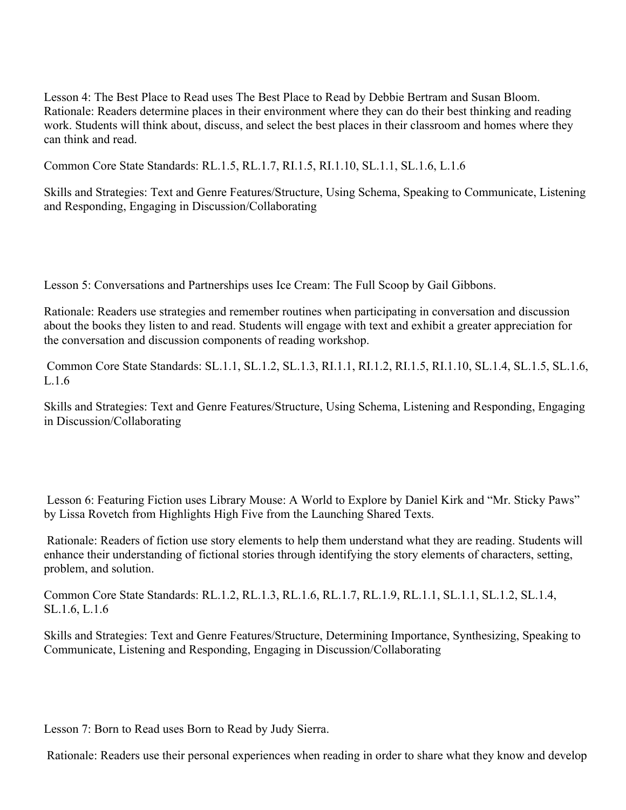Lesson 4: The Best Place to Read uses The Best Place to Read by Debbie Bertram and Susan Bloom. Rationale: Readers determine places in their environment where they can do their best thinking and reading work. Students will think about, discuss, and select the best places in their classroom and homes where they can think and read.

Common Core State Standards: RL.1.5, RL.1.7, RI.1.5, RI.1.10, SL.1.1, SL.1.6, L.1.6

Skills and Strategies: Text and Genre Features/Structure, Using Schema, Speaking to Communicate, Listening and Responding, Engaging in Discussion/Collaborating

Lesson 5: Conversations and Partnerships uses Ice Cream: The Full Scoop by Gail Gibbons.

Rationale: Readers use strategies and remember routines when participating in conversation and discussion about the books they listen to and read. Students will engage with text and exhibit a greater appreciation for the conversation and discussion components of reading workshop.

 Common Core State Standards: SL.1.1, SL.1.2, SL.1.3, RI.1.1, RI.1.2, RI.1.5, RI.1.10, SL.1.4, SL.1.5, SL.1.6, L.1.6

Skills and Strategies: Text and Genre Features/Structure, Using Schema, Listening and Responding, Engaging in Discussion/Collaborating

 Lesson 6: Featuring Fiction uses Library Mouse: A World to Explore by Daniel Kirk and "Mr. Sticky Paws" by Lissa Rovetch from Highlights High Five from the Launching Shared Texts.

 Rationale: Readers of fiction use story elements to help them understand what they are reading. Students will enhance their understanding of fictional stories through identifying the story elements of characters, setting, problem, and solution.

Common Core State Standards: RL.1.2, RL.1.3, RL.1.6, RL.1.7, RL.1.9, RL.1.1, SL.1.1, SL.1.2, SL.1.4, SL.1.6, L.1.6

Skills and Strategies: Text and Genre Features/Structure, Determining Importance, Synthesizing, Speaking to Communicate, Listening and Responding, Engaging in Discussion/Collaborating

Lesson 7: Born to Read uses Born to Read by Judy Sierra.

Rationale: Readers use their personal experiences when reading in order to share what they know and develop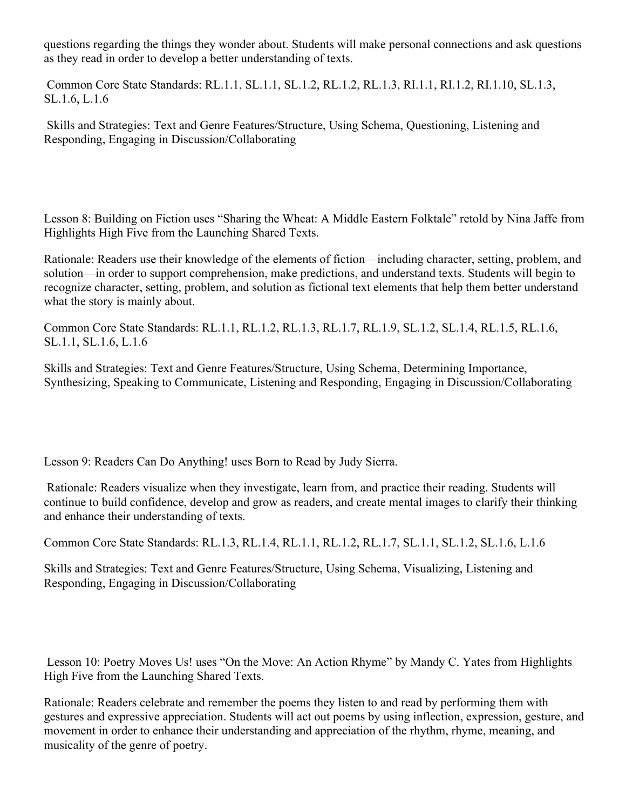questions regarding the things they wonder about. Students will make personal connections and ask questions as they read in order to develop a better understanding of texts.

 Common Core State Standards: RL.1.1, SL.1.1, SL.1.2, RL.1.2, RL.1.3, RI.1.1, RI.1.2, RI.1.10, SL.1.3, SL.1.6, L.1.6

 Skills and Strategies: Text and Genre Features/Structure, Using Schema, Questioning, Listening and Responding, Engaging in Discussion/Collaborating

Lesson 8: Building on Fiction uses "Sharing the Wheat: A Middle Eastern Folktale" retold by Nina Jaffe from Highlights High Five from the Launching Shared Texts.

Rationale: Readers use their knowledge of the elements of fiction—including character, setting, problem, and solution—in order to support comprehension, make predictions, and understand texts. Students will begin to recognize character, setting, problem, and solution as fictional text elements that help them better understand what the story is mainly about.

Common Core State Standards: RL.1.1, RL.1.2, RL.1.3, RL.1.7, RL.1.9, SL.1.2, SL.1.4, RL.1.5, RL.1.6, SL.1.1, SL.1.6, L.1.6

Skills and Strategies: Text and Genre Features/Structure, Using Schema, Determining Importance, Synthesizing, Speaking to Communicate, Listening and Responding, Engaging in Discussion/Collaborating

Lesson 9: Readers Can Do Anything! uses Born to Read by Judy Sierra.

 Rationale: Readers visualize when they investigate, learn from, and practice their reading. Students will continue to build confidence, develop and grow as readers, and create mental images to clarify their thinking and enhance their understanding of texts.

Common Core State Standards: RL.1.3, RL.1.4, RL.1.1, RL.1.2, RL.1.7, SL.1.1, SL.1.2, SL.1.6, L.1.6

Skills and Strategies: Text and Genre Features/Structure, Using Schema, Visualizing, Listening and Responding, Engaging in Discussion/Collaborating

 Lesson 10: Poetry Moves Us! uses "On the Move: An Action Rhyme" by Mandy C. Yates from Highlights High Five from the Launching Shared Texts.

Rationale: Readers celebrate and remember the poems they listen to and read by performing them with gestures and expressive appreciation. Students will act out poems by using inflection, expression, gesture, and movement in order to enhance their understanding and appreciation of the rhythm, rhyme, meaning, and musicality of the genre of poetry.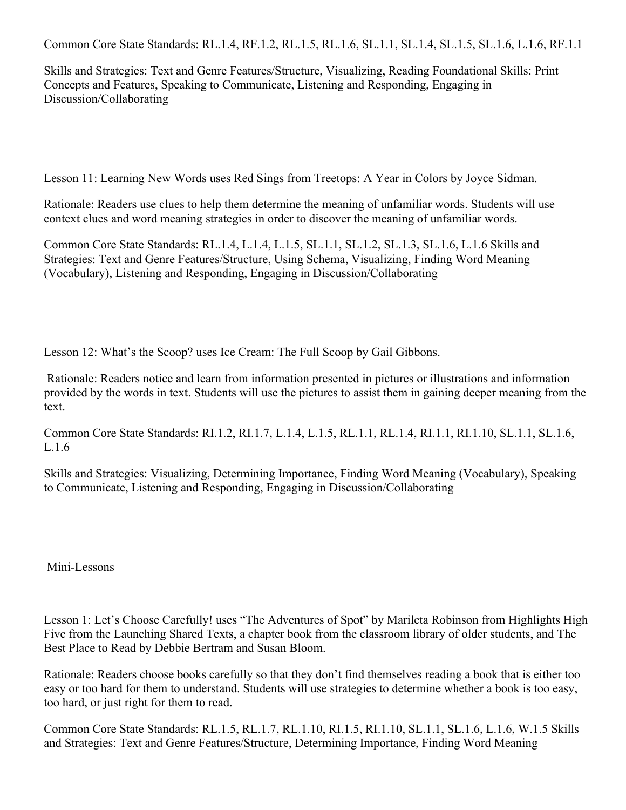Common Core State Standards: RL.1.4, RF.1.2, RL.1.5, RL.1.6, SL.1.1, SL.1.4, SL.1.5, SL.1.6, L.1.6, RF.1.1

Skills and Strategies: Text and Genre Features/Structure, Visualizing, Reading Foundational Skills: Print Concepts and Features, Speaking to Communicate, Listening and Responding, Engaging in Discussion/Collaborating

Lesson 11: Learning New Words uses Red Sings from Treetops: A Year in Colors by Joyce Sidman.

Rationale: Readers use clues to help them determine the meaning of unfamiliar words. Students will use context clues and word meaning strategies in order to discover the meaning of unfamiliar words.

Common Core State Standards: RL.1.4, L.1.4, L.1.5, SL.1.1, SL.1.2, SL.1.3, SL.1.6, L.1.6 Skills and Strategies: Text and Genre Features/Structure, Using Schema, Visualizing, Finding Word Meaning (Vocabulary), Listening and Responding, Engaging in Discussion/Collaborating

Lesson 12: What's the Scoop? uses Ice Cream: The Full Scoop by Gail Gibbons.

 Rationale: Readers notice and learn from information presented in pictures or illustrations and information provided by the words in text. Students will use the pictures to assist them in gaining deeper meaning from the text.

Common Core State Standards: RI.1.2, RI.1.7, L.1.4, L.1.5, RL.1.1, RL.1.4, RI.1.1, RI.1.10, SL.1.1, SL.1.6, L.1.6

Skills and Strategies: Visualizing, Determining Importance, Finding Word Meaning (Vocabulary), Speaking to Communicate, Listening and Responding, Engaging in Discussion/Collaborating

Mini-Lessons

Lesson 1: Let's Choose Carefully! uses "The Adventures of Spot" by Marileta Robinson from Highlights High Five from the Launching Shared Texts, a chapter book from the classroom library of older students, and The Best Place to Read by Debbie Bertram and Susan Bloom.

Rationale: Readers choose books carefully so that they don't find themselves reading a book that is either too easy or too hard for them to understand. Students will use strategies to determine whether a book is too easy, too hard, or just right for them to read.

Common Core State Standards: RL.1.5, RL.1.7, RL.1.10, RI.1.5, RI.1.10, SL.1.1, SL.1.6, L.1.6, W.1.5 Skills and Strategies: Text and Genre Features/Structure, Determining Importance, Finding Word Meaning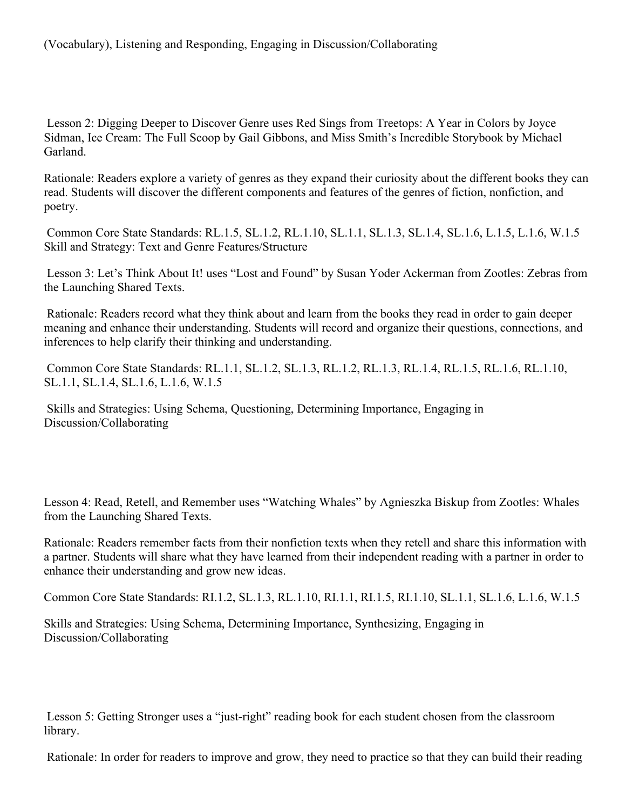Lesson 2: Digging Deeper to Discover Genre uses Red Sings from Treetops: A Year in Colors by Joyce Sidman, Ice Cream: The Full Scoop by Gail Gibbons, and Miss Smith's Incredible Storybook by Michael **Garland** 

Rationale: Readers explore a variety of genres as they expand their curiosity about the different books they can read. Students will discover the different components and features of the genres of fiction, nonfiction, and poetry.

 Common Core State Standards: RL.1.5, SL.1.2, RL.1.10, SL.1.1, SL.1.3, SL.1.4, SL.1.6, L.1.5, L.1.6, W.1.5 Skill and Strategy: Text and Genre Features/Structure

 Lesson 3: Let's Think About It! uses "Lost and Found" by Susan Yoder Ackerman from Zootles: Zebras from the Launching Shared Texts.

 Rationale: Readers record what they think about and learn from the books they read in order to gain deeper meaning and enhance their understanding. Students will record and organize their questions, connections, and inferences to help clarify their thinking and understanding.

 Common Core State Standards: RL.1.1, SL.1.2, SL.1.3, RL.1.2, RL.1.3, RL.1.4, RL.1.5, RL.1.6, RL.1.10, SL.1.1, SL.1.4, SL.1.6, L.1.6, W.1.5

 Skills and Strategies: Using Schema, Questioning, Determining Importance, Engaging in Discussion/Collaborating

Lesson 4: Read, Retell, and Remember uses "Watching Whales" by Agnieszka Biskup from Zootles: Whales from the Launching Shared Texts.

Rationale: Readers remember facts from their nonfiction texts when they retell and share this information with a partner. Students will share what they have learned from their independent reading with a partner in order to enhance their understanding and grow new ideas.

Common Core State Standards: RI.1.2, SL.1.3, RL.1.10, RI.1.1, RI.1.5, RI.1.10, SL.1.1, SL.1.6, L.1.6, W.1.5

Skills and Strategies: Using Schema, Determining Importance, Synthesizing, Engaging in Discussion/Collaborating

 Lesson 5: Getting Stronger uses a "just-right" reading book for each student chosen from the classroom library.

Rationale: In order for readers to improve and grow, they need to practice so that they can build their reading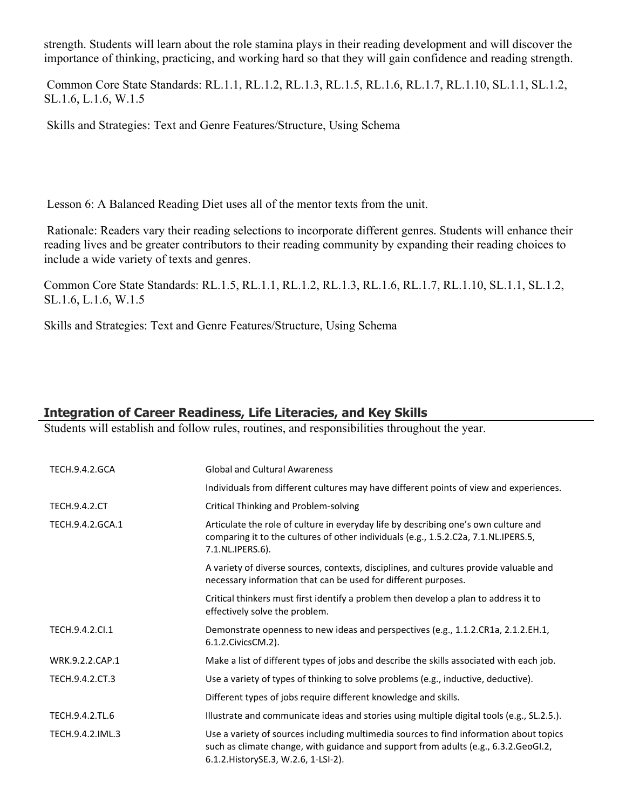strength. Students will learn about the role stamina plays in their reading development and will discover the importance of thinking, practicing, and working hard so that they will gain confidence and reading strength.

 Common Core State Standards: RL.1.1, RL.1.2, RL.1.3, RL.1.5, RL.1.6, RL.1.7, RL.1.10, SL.1.1, SL.1.2, SL.1.6, L.1.6, W.1.5

Skills and Strategies: Text and Genre Features/Structure, Using Schema

Lesson 6: A Balanced Reading Diet uses all of the mentor texts from the unit.

 Rationale: Readers vary their reading selections to incorporate different genres. Students will enhance their reading lives and be greater contributors to their reading community by expanding their reading choices to include a wide variety of texts and genres.

Common Core State Standards: RL.1.5, RL.1.1, RL.1.2, RL.1.3, RL.1.6, RL.1.7, RL.1.10, SL.1.1, SL.1.2, SL.1.6, L.1.6, W.1.5

Skills and Strategies: Text and Genre Features/Structure, Using Schema

# **Integration of Career Readiness, Life Literacies, and Key Skills**

Students will establish and follow rules, routines, and responsibilities throughout the year.

| <b>TECH.9.4.2.GCA</b> | <b>Global and Cultural Awareness</b>                                                                                                                                                                                   |
|-----------------------|------------------------------------------------------------------------------------------------------------------------------------------------------------------------------------------------------------------------|
|                       | Individuals from different cultures may have different points of view and experiences.                                                                                                                                 |
| <b>TECH.9.4.2.CT</b>  | Critical Thinking and Problem-solving                                                                                                                                                                                  |
| TECH.9.4.2.GCA.1      | Articulate the role of culture in everyday life by describing one's own culture and<br>comparing it to the cultures of other individuals (e.g., 1.5.2.C2a, 7.1.NL.IPERS.5,<br>7.1.NL.IPERS.6).                         |
|                       | A variety of diverse sources, contexts, disciplines, and cultures provide valuable and<br>necessary information that can be used for different purposes.                                                               |
|                       | Critical thinkers must first identify a problem then develop a plan to address it to<br>effectively solve the problem.                                                                                                 |
| TECH.9.4.2.Cl.1       | Demonstrate openness to new ideas and perspectives (e.g., 1.1.2.CR1a, 2.1.2.EH.1,<br>6.1.2. Civics CM. 2).                                                                                                             |
| WRK.9.2.2.CAP.1       | Make a list of different types of jobs and describe the skills associated with each job.                                                                                                                               |
| TECH.9.4.2.CT.3       | Use a variety of types of thinking to solve problems (e.g., inductive, deductive).                                                                                                                                     |
|                       | Different types of jobs require different knowledge and skills.                                                                                                                                                        |
| TECH.9.4.2.TL.6       | Illustrate and communicate ideas and stories using multiple digital tools (e.g., SL.2.5.).                                                                                                                             |
| TECH.9.4.2.IML.3      | Use a variety of sources including multimedia sources to find information about topics<br>such as climate change, with guidance and support from adults (e.g., 6.3.2.GeoGI.2,<br>6.1.2. History SE.3, W.2.6, 1-LSI-2). |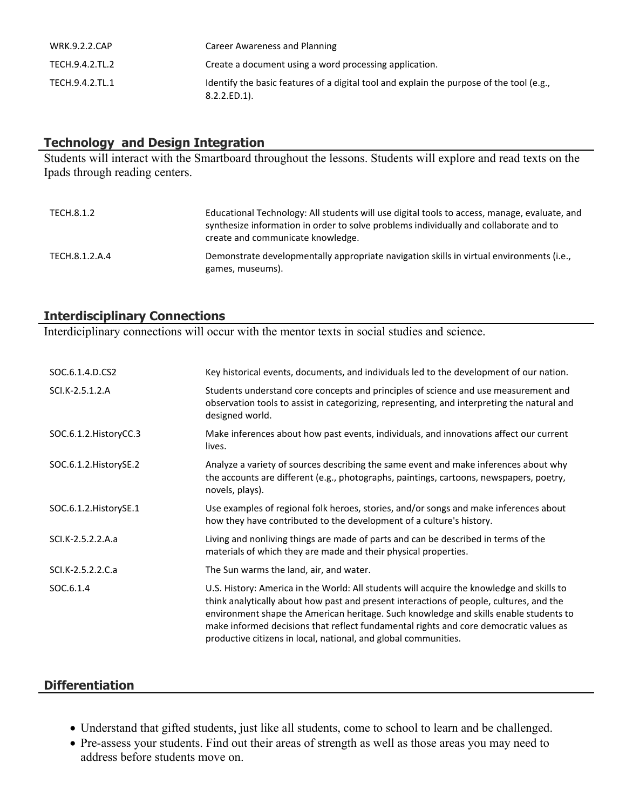| <b>WRK.9.2.2.CAP</b> | Career Awareness and Planning                                                                               |
|----------------------|-------------------------------------------------------------------------------------------------------------|
| TECH.9.4.2.TL.2      | Create a document using a word processing application.                                                      |
| TECH.9.4.2.TL.1      | Identify the basic features of a digital tool and explain the purpose of the tool (e.g.,<br>$8.2.2.ED.1$ ). |

# **Technology and Design Integration**

Students will interact with the Smartboard throughout the lessons. Students will explore and read texts on the Ipads through reading centers.

| TECH.8.1.2     | Educational Technology: All students will use digital tools to access, manage, evaluate, and<br>synthesize information in order to solve problems individually and collaborate and to<br>create and communicate knowledge. |
|----------------|----------------------------------------------------------------------------------------------------------------------------------------------------------------------------------------------------------------------------|
| TECH.8.1.2.A.4 | Demonstrate developmentally appropriate navigation skills in virtual environments (i.e.,<br>games, museums).                                                                                                               |

## **Interdisciplinary Connections**

Interdiciplinary connections will occur with the mentor texts in social studies and science.

| SOC.6.1.4.D.CS2        | Key historical events, documents, and individuals led to the development of our nation.                                                                                                                                                                                                                                                                                                                                                   |
|------------------------|-------------------------------------------------------------------------------------------------------------------------------------------------------------------------------------------------------------------------------------------------------------------------------------------------------------------------------------------------------------------------------------------------------------------------------------------|
| SCI.K-2.5.1.2.A        | Students understand core concepts and principles of science and use measurement and<br>observation tools to assist in categorizing, representing, and interpreting the natural and<br>designed world.                                                                                                                                                                                                                                     |
| SOC.6.1.2. HistoryCC.3 | Make inferences about how past events, individuals, and innovations affect our current<br>lives.                                                                                                                                                                                                                                                                                                                                          |
| SOC.6.1.2. HistorySE.2 | Analyze a variety of sources describing the same event and make inferences about why<br>the accounts are different (e.g., photographs, paintings, cartoons, newspapers, poetry,<br>novels, plays).                                                                                                                                                                                                                                        |
| SOC.6.1.2. HistorySE.1 | Use examples of regional folk heroes, stories, and/or songs and make inferences about<br>how they have contributed to the development of a culture's history.                                                                                                                                                                                                                                                                             |
| SCI.K-2.5.2.2.A.a      | Living and nonliving things are made of parts and can be described in terms of the<br>materials of which they are made and their physical properties.                                                                                                                                                                                                                                                                                     |
| SCI.K-2.5.2.2.C.a      | The Sun warms the land, air, and water.                                                                                                                                                                                                                                                                                                                                                                                                   |
| SOC.6.1.4              | U.S. History: America in the World: All students will acquire the knowledge and skills to<br>think analytically about how past and present interactions of people, cultures, and the<br>environment shape the American heritage. Such knowledge and skills enable students to<br>make informed decisions that reflect fundamental rights and core democratic values as<br>productive citizens in local, national, and global communities. |

# **Differentiation**

- Understand that gifted students, just like all students, come to school to learn and be challenged.
- Pre-assess your students. Find out their areas of strength as well as those areas you may need to address before students move on.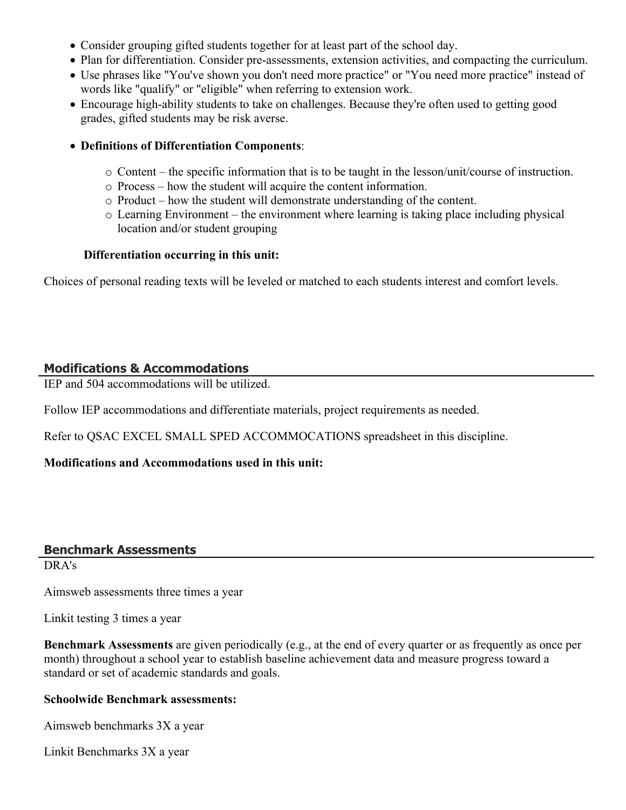- Consider grouping gifted students together for at least part of the school day.
- Plan for differentiation. Consider pre-assessments, extension activities, and compacting the curriculum.
- Use phrases like "You've shown you don't need more practice" or "You need more practice" instead of words like "qualify" or "eligible" when referring to extension work.
- Encourage high-ability students to take on challenges. Because they're often used to getting good grades, gifted students may be risk averse.
- **Definitions of Differentiation Components**:
	- $\circ$  Content the specific information that is to be taught in the lesson/unit/course of instruction.
	- o Process how the student will acquire the content information.
	- o Product how the student will demonstrate understanding of the content.
	- o Learning Environment the environment where learning is taking place including physical location and/or student grouping

## **Differentiation occurring in this unit:**

Choices of personal reading texts will be leveled or matched to each students interest and comfort levels.

# **Modifications & Accommodations**

IEP and 504 accommodations will be utilized.

Follow IEP accommodations and differentiate materials, project requirements as needed.

Refer to QSAC EXCEL SMALL SPED ACCOMMOCATIONS spreadsheet in this discipline.

# **Modifications and Accommodations used in this unit:**

## **Benchmark Assessments**

DRA's

Aimsweb assessments three times a year

Linkit testing 3 times a year

**Benchmark Assessments** are given periodically (e.g., at the end of every quarter or as frequently as once per month) throughout a school year to establish baseline achievement data and measure progress toward a standard or set of academic standards and goals.

## **Schoolwide Benchmark assessments:**

Aimsweb benchmarks 3X a year

Linkit Benchmarks 3X a year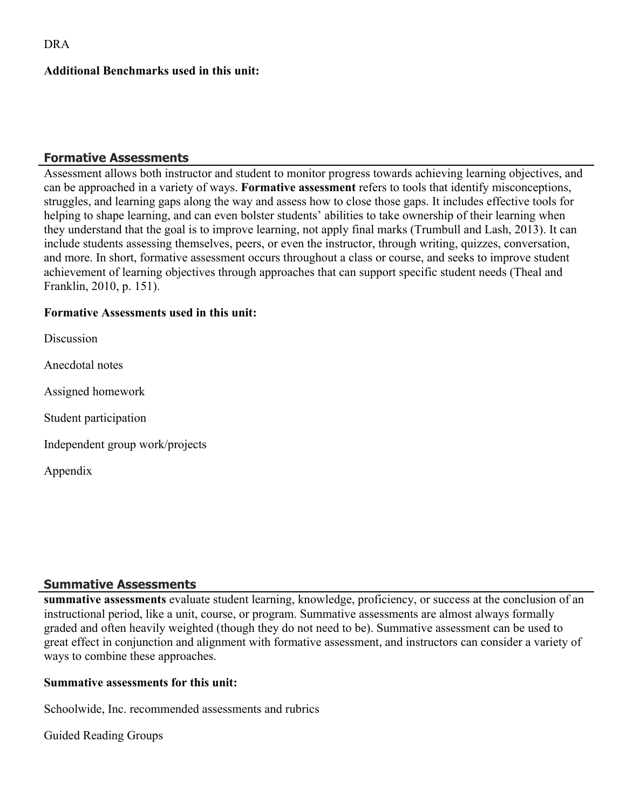#### **Additional Benchmarks used in this unit:**

#### **Formative Assessments**

Assessment allows both instructor and student to monitor progress towards achieving learning objectives, and can be approached in a variety of ways. **Formative assessment** refers to tools that identify misconceptions, struggles, and learning gaps along the way and assess how to close those gaps. It includes effective tools for helping to shape learning, and can even bolster students' abilities to take ownership of their learning when they understand that the goal is to improve learning, not apply final marks (Trumbull and Lash, 2013). It can include students assessing themselves, peers, or even the instructor, through writing, quizzes, conversation, and more. In short, formative assessment occurs throughout a class or course, and seeks to improve student achievement of learning objectives through approaches that can support specific student needs (Theal and Franklin, 2010, p. 151).

#### **Formative Assessments used in this unit:**

**Discussion** 

Anecdotal notes

Assigned homework

Student participation

Independent group work/projects

Appendix

## **Summative Assessments**

**summative assessments** evaluate student learning, knowledge, proficiency, or success at the conclusion of an instructional period, like a unit, course, or program. Summative assessments are almost always formally graded and often heavily weighted (though they do not need to be). Summative assessment can be used to great effect in conjunction and alignment with formative assessment, and instructors can consider a variety of ways to combine these approaches.

#### **Summative assessments for this unit:**

Schoolwide, Inc. recommended assessments and rubrics

Guided Reading Groups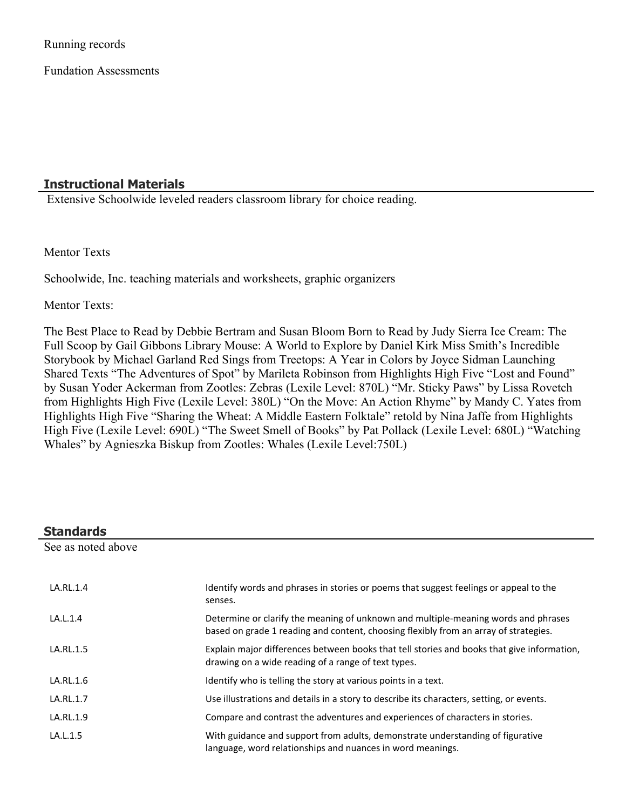Running records

Fundation Assessments

## **Instructional Materials**

Extensive Schoolwide leveled readers classroom library for choice reading.

Mentor Texts

Schoolwide, Inc. teaching materials and worksheets, graphic organizers

Mentor Texts:

The Best Place to Read by Debbie Bertram and Susan Bloom Born to Read by Judy Sierra Ice Cream: The Full Scoop by Gail Gibbons Library Mouse: A World to Explore by Daniel Kirk Miss Smith's Incredible Storybook by Michael Garland Red Sings from Treetops: A Year in Colors by Joyce Sidman Launching Shared Texts "The Adventures of Spot" by Marileta Robinson from Highlights High Five "Lost and Found" by Susan Yoder Ackerman from Zootles: Zebras (Lexile Level: 870L) "Mr. Sticky Paws" by Lissa Rovetch from Highlights High Five (Lexile Level: 380L) "On the Move: An Action Rhyme" by Mandy C. Yates from Highlights High Five "Sharing the Wheat: A Middle Eastern Folktale" retold by Nina Jaffe from Highlights High Five (Lexile Level: 690L) "The Sweet Smell of Books" by Pat Pollack (Lexile Level: 680L) "Watching Whales" by Agnieszka Biskup from Zootles: Whales (Lexile Level:750L)

| <b>Standards</b>   |                                                                                                                                                                            |  |
|--------------------|----------------------------------------------------------------------------------------------------------------------------------------------------------------------------|--|
| See as noted above |                                                                                                                                                                            |  |
| LA.RL.1.4          | Identify words and phrases in stories or poems that suggest feelings or appeal to the<br>senses.                                                                           |  |
| LA.L.1.4           | Determine or clarify the meaning of unknown and multiple-meaning words and phrases<br>based on grade 1 reading and content, choosing flexibly from an array of strategies. |  |
| LA.RL.1.5          | Explain major differences between books that tell stories and books that give information,<br>drawing on a wide reading of a range of text types.                          |  |
| LA.RL.1.6          | Identify who is telling the story at various points in a text.                                                                                                             |  |
| LA.RL.1.7          | Use illustrations and details in a story to describe its characters, setting, or events.                                                                                   |  |
| LA.RL.1.9          | Compare and contrast the adventures and experiences of characters in stories.                                                                                              |  |
| LA.L.1.5           | With guidance and support from adults, demonstrate understanding of figurative<br>language, word relationships and nuances in word meanings.                               |  |